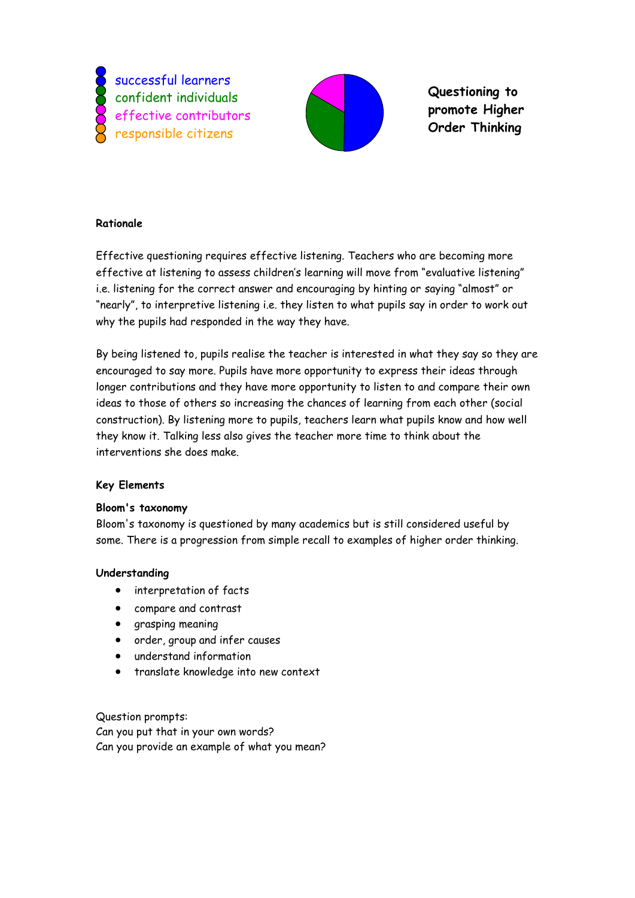successful learners confident individuals effective contributors responsible citizens



2 **promote Higher**  3 **Order Thinking Questioning to** 

# **Rationale**

Effective questioning requires effective listening. Teachers who are becoming more effective at listening to assess children"s learning will move from "evaluative listening" i.e. listening for the correct answer and encouraging by hinting or saying "almost" or "nearly", to interpretive listening i.e. they listen to what pupils say in order to work out why the pupils had responded in the way they have.

By being listened to, pupils realise the teacher is interested in what they say so they are encouraged to say more. Pupils have more opportunity to express their ideas through longer contributions and they have more opportunity to listen to and compare their own ideas to those of others so increasing the chances of learning from each other (social construction). By listening more to pupils, teachers learn what pupils know and how well they know it. Talking less also gives the teacher more time to think about the interventions she does make.

## **Key Elements**

#### **Bloom's taxonomy**

Bloom's taxonomy is questioned by many academics but is still considered useful by some. There is a progression from simple recall to examples of higher order thinking.

## **Understanding**

- interpretation of facts
- compare and contrast
- grasping meaning
- order, group and infer causes
- understand information
- translate knowledge into new context

Question prompts: Can you put that in your own words? Can you provide an example of what you mean?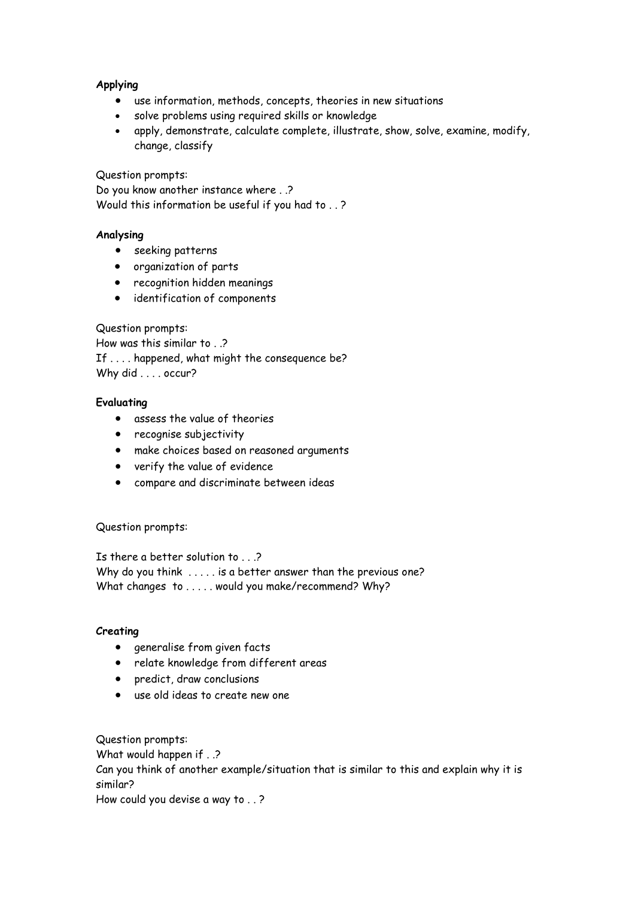### **Applying**

- use information, methods, concepts, theories in new situations
- solve problems using required skills or knowledge
- apply, demonstrate, calculate complete, illustrate, show, solve, examine, modify, change, classify

Question prompts:

Do you know another instance where . .? Would this information be useful if you had to . . ?

#### **Analysing**

- seeking patterns
- organization of parts
- recognition hidden meanings
- identification of components

Question prompts:

How was this similar to . .? If . . . . happened, what might the consequence be? Why did . . . . occur?

### **Evaluating**

- assess the value of theories
- recognise subjectivity
- make choices based on reasoned arguments
- verify the value of evidence
- compare and discriminate between ideas

Question prompts:

Is there a better solution to . . .? Why do you think ..... is a better answer than the previous one? What changes to ..... would you make/recommend? Why?

#### **Creating**

- generalise from given facts
- relate knowledge from different areas
- predict, draw conclusions
- use old ideas to create new one

Question prompts:

What would happen if . .?

Can you think of another example/situation that is similar to this and explain why it is similar?

How could you devise a way to . . ?